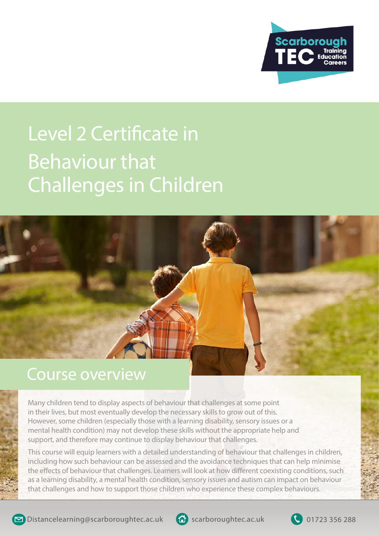

# Behaviour that Challenges in Children Level 2 Certificate in



#### Course overview

Many children tend to display aspects of behaviour that challenges at some point in their lives, but most eventually develop the necessary skills to grow out of this. However, some children (especially those with a learning disability, sensory issues or a mental health condition) may not develop these skills without the appropriate help and support, and therefore may continue to display behaviour that challenges.

This course will equip learners with a detailed understanding of behaviour that challenges in children, including how such behaviour can be assessed and the avoidance techniques that can help minimise the effects of behaviour that challenges. Learners will look at how different coexisting conditions, such as a learning disability, a mental health condition, sensory issues and autism can impact on behaviour that challenges and how to support those children who experience these complex behaviours.